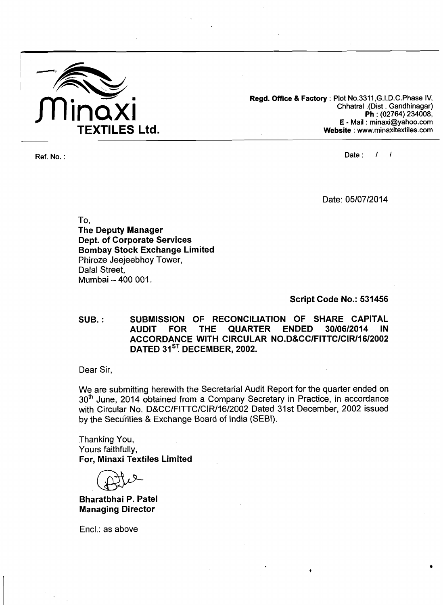

**Regd. Office** & **Factory** : **Plot No.3311,G.I.D.C.Phase IV, Chhatral .(Dist** . **Gandhinagar) Ph** : **(02764) 234008, E** - **Mail** : **minaxi@yahoo.com Website** : **www.minaxitextiles.com** 

**Ref. No.** : **Date** : 1 I

Date: 05/07/2014

To **<sup>1</sup> 'The Deputy Manager Dept. of Corporate Services Bombay Stock Exchange Limited**  Phiroze Jeejeebhoy Tower, Dalal Street, Mumbai - 400 001.

**Script Code No.: 531456** 

**SUB.** : **SUBMISSION OF RECONCILIA'TION OF SHARE CAPITAL AUARTER ACCORDANCE WITH CIRCULAR NO.D&CC/FITTC/CIR/16/2002 DATED 31<sup>ST</sup>, DECEMBER, 2002.** 

Dear Sir,

We are submitting herewith the Secretarial Audit Report for the quarter ended on 30<sup>th</sup> June, 2014 obtained from a Company Secretary in Practice, in accordance with Circular No. D&CC/FITTC/CIR/16/2002 Dated 31st December, 2002 issued by the Securities & Exchange Board of India (SEBI).

Thanking You, Yours faithfully, **For, Minaxi Textiles Limited** 

**Bharatbhai P. Patel Managing Director** 

Encl.: as above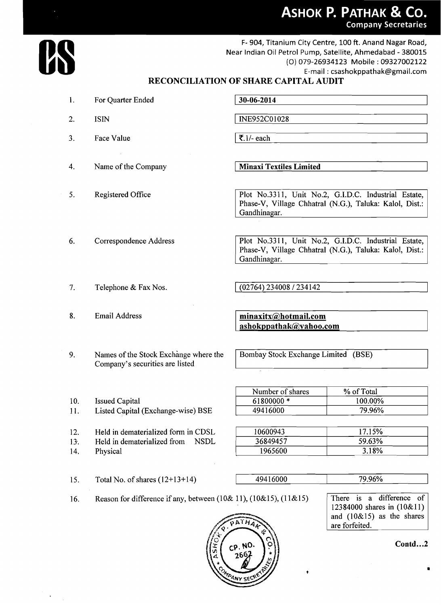ASHOK P. PATHAK & CO. **Company Secretaries** 



F- 904, Titanium City Centre, 100 ft. Anand Nagar Road, Near Indian Oil Petrol Pump, Satellite, Ahmedabad - 380015 (0) 079-26934123 Mobile : 09327002122 E-mail : csashokppathak@gmail.com

## **RECONCILIATION OF SHARE CAPITAL AUDIT**

 $30 - 06 - 2014$ 

| 2. | <b>ISIN</b>            | INE952C01028                                                                                                                    |
|----|------------------------|---------------------------------------------------------------------------------------------------------------------------------|
| 3. | Face Value             | $\overline{\mathbf{5}}$ .1/- each                                                                                               |
| 4. | Name of the Company    | <b>Minaxi Textiles Limited</b>                                                                                                  |
| 5. | Registered Office      | Plot No.3311, Unit No.2, G.I.D.C. Industrial Estate,<br>Phase-V, Village Chhatral (N.G.), Taluka: Kalol, Dist.:<br>Gandhinagar. |
| 6. | Correspondence Address | Plot No.3311, Unit No.2, G.I.D.C. Industrial Estate,<br>Phase-V, Village Chhatral (N.G.), Taluka: Kalol, Dist.:<br>Gandhinagar. |
| 7. | Telephone & Fax Nos.   | (02764) 234008 / 234142                                                                                                         |

8. Email Address

1. For Quarter Ended

minaxitx@hotmail.com ashokppathak@yahoo.com

Bombay Stock Exchange Limited (BSE)

| Number of shares | % of Total |
|------------------|------------|
| 61800000 *       | 100.00%    |
| 49416000         | 79.96%     |

| 12. |  | Held in dematerialized form in CDSL |  |  |
|-----|--|-------------------------------------|--|--|

11. Listed Capital (Exchange-wise) BSE

9. Names of the Stock Exchange where the Company's securities are listed

- 13. Held in dematerialized from NSDL
- 14. Physical

10. Issued Capital

| 17.15%<br>10600943 |  |
|--------------------|--|
| 59.63%<br>36849457 |  |
| 1965600<br>3.18%   |  |

15. Total No. of shares  $(12+13+14)$ 494 16000 79.96%

16. Reason for difference if any, between (lo& 1 **l),** (10&15), (1 1& 15)

There is a difference of 12384000 shares in (10&11) and (10&15) as the shares are forfeited.



**Contd. ..2**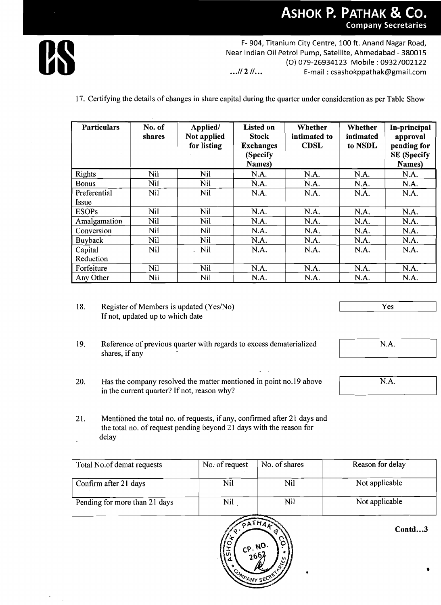## ASHOK P. PATHAK & CO. **Company Secretaries**



F- 904, Titanium City Centre, 100 ft. Anand Nagar Road, Near Indian Oil Petrol Pump, Satellite, Ahmedabad - 380015 (0) 079-26934123 Mobile : 09327002122 ...// 2 //... **E-mail : csashokppathak@gmail.com** 

17. Certifying the details of changes in share capital during the quarter under consideration as per Table Show

| <b>Particulars</b> | No. of<br>shares | Applied/<br>Not applied<br>for listing | <b>Listed on</b><br><b>Stock</b><br><b>Exchanges</b><br>(Specify<br>Names) | Whether<br>intimated to<br><b>CDSL</b> | Whether<br>intimated<br>to NSDL | In-principal<br>approval<br>pending for<br><b>SE</b> (Specify<br>Names) |
|--------------------|------------------|----------------------------------------|----------------------------------------------------------------------------|----------------------------------------|---------------------------------|-------------------------------------------------------------------------|
| <b>Rights</b>      | Nil              | Nil                                    | N.A.                                                                       | N.A.                                   | N.A.                            | N.A.                                                                    |
| <b>Bonus</b>       | Nil              | Nil                                    | N.A.                                                                       | N.A.                                   | N.A.                            | N.A.                                                                    |
| Preferential       | Nil              | <b>Nil</b>                             | N.A.                                                                       | N.A.                                   | N.A.                            | N.A.                                                                    |
| <i>Issue</i>       |                  |                                        |                                                                            |                                        |                                 |                                                                         |
| <b>ESOPs</b>       | Nil              | Nil                                    | N.A.                                                                       | N.A.                                   | N.A.                            | N.A.                                                                    |
| Amalgamation       | <b>Nil</b>       | <b>Nil</b>                             | N.A.                                                                       | N.A.                                   | N.A.                            | N.A.                                                                    |
| Conversion         | Nil              | Nil                                    | N.A.                                                                       | N.A.                                   | N.A.                            | N.A.                                                                    |
| Buyback            | Nil              | Nil                                    | N.A.                                                                       | N.A.                                   | N.A.                            | N.A.                                                                    |
| Capital            | Nil              | <b>Nil</b>                             | N.A.                                                                       | N.A.                                   | N.A.                            | N.A.                                                                    |
| Reduction          |                  |                                        |                                                                            |                                        |                                 |                                                                         |
| Forfeiture         | Nil              | Nil                                    | N.A.                                                                       | N.A.                                   | N.A.                            | N.A.                                                                    |
| Any Other          | Nil              | Nil                                    | N.A.                                                                       | N.A.                                   | N.A.                            | N.A.                                                                    |

- 18. Register of Members is updated (Yes/No) If not, updated up to which date
- 19. Reference of previous quarter with regards to excess dematerialized shares, if any
- 20. Has the company resolved the matter mentioned in point no. 19 above in the current quarter? If not, reason why?
- 21. Mentioned the total no. of requests, if any, confirmed after 21 days and the total no. of request pending beyond 21 days with the reason for delay

| Total No.of demat requests    | No. of request | No. of shares | Reason for delay |
|-------------------------------|----------------|---------------|------------------|
| Confirm after 21 days         | Nil            | Nil           | Not applicable   |
| Pending for more than 21 days | Nil            | Nil           | Not applicable   |



**Contd** ... **<sup>3</sup>**

**1** 

Yes

N.A.

N.A.